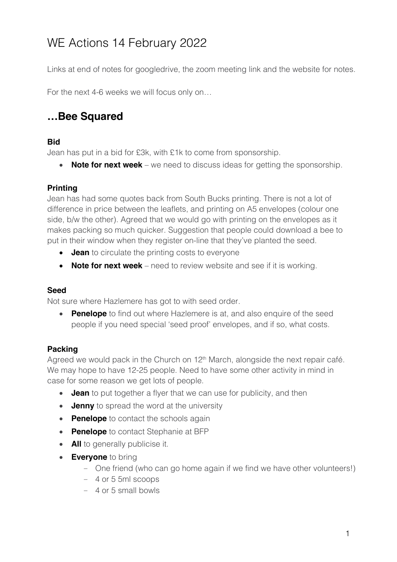# WE Actions 14 February 2022

Links at end of notes for googledrive, the zoom meeting link and the website for notes.

For the next 4-6 weeks we will focus only on…

## **…Bee Squared**

#### **Bid**

Jean has put in a bid for £3k, with £1k to come from sponsorship.

• **Note for next week** – we need to discuss ideas for getting the sponsorship.

#### **Printing**

Jean has had some quotes back from South Bucks printing. There is not a lot of difference in price between the leaflets, and printing on A5 envelopes (colour one side, b/w the other). Agreed that we would go with printing on the envelopes as it makes packing so much quicker. Suggestion that people could download a bee to put in their window when they register on-line that they've planted the seed.

- **Jean** to circulate the printing costs to everyone
- **Note for next week**  need to review website and see if it is working.

#### **Seed**

Not sure where Hazlemere has got to with seed order.

• **Penelope** to find out where Hazlemere is at, and also enquire of the seed people if you need special 'seed proof' envelopes, and if so, what costs.

#### **Packing**

Agreed we would pack in the Church on 12<sup>th</sup> March, alongside the next repair café. We may hope to have 12-25 people. Need to have some other activity in mind in case for some reason we get lots of people.

- **Jean** to put together a flyer that we can use for publicity, and then
- **Jenny** to spread the word at the university
- **Penelope** to contact the schools again
- **Penelope** to contact Stephanie at BFP
- **All** to generally publicise it.
- **Everyone** to bring
	- One friend (who can go home again if we find we have other volunteers!)
	- 4 or 5 5ml scoops
	- 4 or 5 small bowls